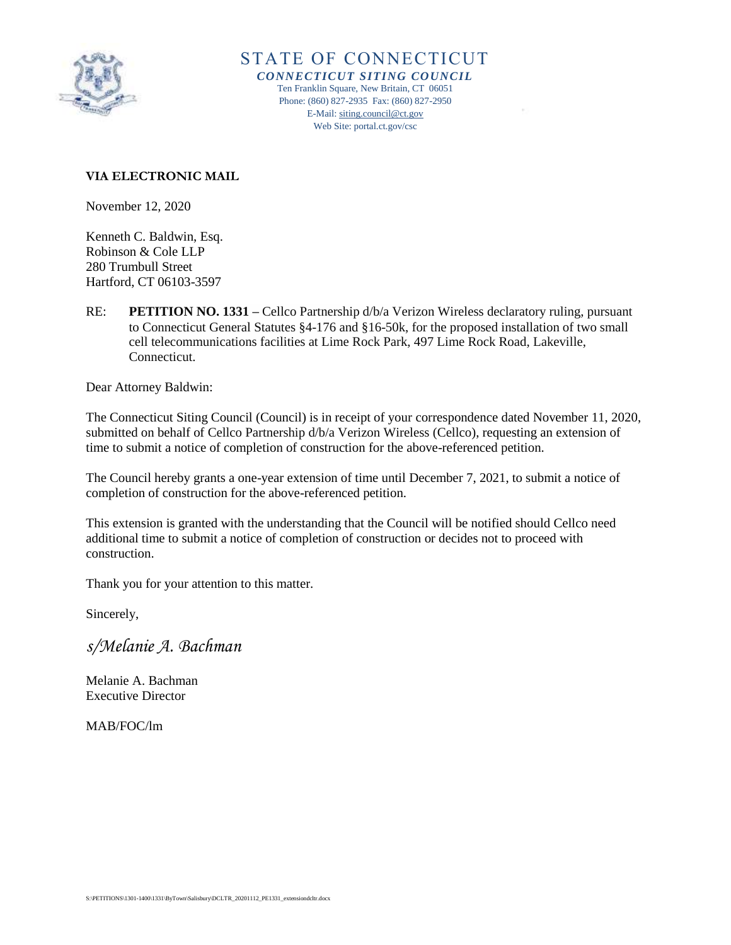

STATE OF CONNECTICUT *CONNECTICUT SITING COUNCIL* Ten Franklin Square, New Britain, CT 06051 Phone: (860) 827-2935 Fax: (860) 827-2950 E-Mail[: siting.council@ct.gov](mailto:siting.council@ct.gov) Web Site: portal.ct.gov/csc

## **VIA ELECTRONIC MAIL**

November 12, 2020

Kenneth C. Baldwin, Esq. Robinson & Cole LLP 280 Trumbull Street Hartford, CT 06103-3597

RE: **PETITION NO. 1331 –** Cellco Partnership d/b/a Verizon Wireless declaratory ruling, pursuant to Connecticut General Statutes §4-176 and §16-50k, for the proposed installation of two small cell telecommunications facilities at Lime Rock Park, 497 Lime Rock Road, Lakeville, Connecticut.

Dear Attorney Baldwin:

The Connecticut Siting Council (Council) is in receipt of your correspondence dated November 11, 2020, submitted on behalf of Cellco Partnership d/b/a Verizon Wireless (Cellco), requesting an extension of time to submit a notice of completion of construction for the above-referenced petition.

The Council hereby grants a one-year extension of time until December 7, 2021, to submit a notice of completion of construction for the above-referenced petition.

This extension is granted with the understanding that the Council will be notified should Cellco need additional time to submit a notice of completion of construction or decides not to proceed with construction.

Thank you for your attention to this matter.

Sincerely,

*s/Melanie A. Bachman*

Melanie A. Bachman Executive Director

MAB/FOC/lm